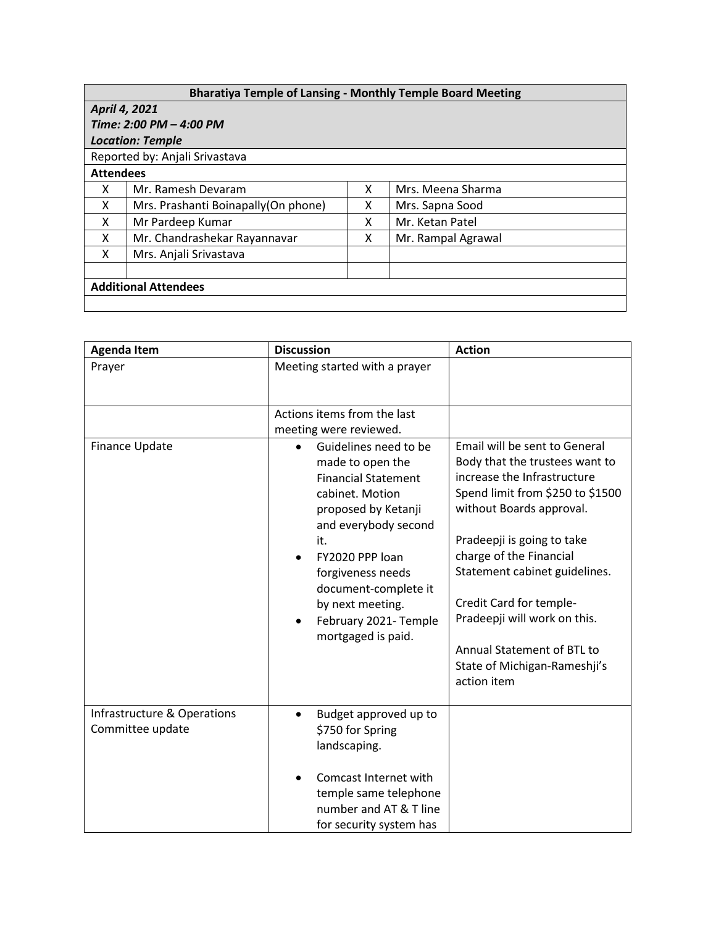## **Bharatiya Temple of Lansing - Monthly Temple Board Meeting**

## *April 4, 2021 Time: 2:00 PM – 4:00 PM*

## *Location: Temple*

## Reported by: Anjali Srivastava

| <b>Attendees</b>            |                                      |   |                    |  |  |  |
|-----------------------------|--------------------------------------|---|--------------------|--|--|--|
| X                           | Mr. Ramesh Devaram                   |   | Mrs. Meena Sharma  |  |  |  |
| х                           | Mrs. Prashanti Boinapally (On phone) | х | Mrs. Sapna Sood    |  |  |  |
| х                           | Mr Pardeep Kumar                     |   | Mr. Ketan Patel    |  |  |  |
| Χ                           | Mr. Chandrashekar Rayannavar         |   | Mr. Rampal Agrawal |  |  |  |
| X                           | Mrs. Anjali Srivastava               |   |                    |  |  |  |
|                             |                                      |   |                    |  |  |  |
| <b>Additional Attendees</b> |                                      |   |                    |  |  |  |
|                             |                                      |   |                    |  |  |  |

| <b>Agenda Item</b>                              | <b>Discussion</b>                                                                                                                                                                                                                                                                                             | <b>Action</b>                                                                                                                                                                                                                                                                                                                                                                                    |
|-------------------------------------------------|---------------------------------------------------------------------------------------------------------------------------------------------------------------------------------------------------------------------------------------------------------------------------------------------------------------|--------------------------------------------------------------------------------------------------------------------------------------------------------------------------------------------------------------------------------------------------------------------------------------------------------------------------------------------------------------------------------------------------|
| Prayer                                          | Meeting started with a prayer                                                                                                                                                                                                                                                                                 |                                                                                                                                                                                                                                                                                                                                                                                                  |
|                                                 | Actions items from the last<br>meeting were reviewed.                                                                                                                                                                                                                                                         |                                                                                                                                                                                                                                                                                                                                                                                                  |
| Finance Update                                  | Guidelines need to be<br>$\bullet$<br>made to open the<br><b>Financial Statement</b><br>cabinet. Motion<br>proposed by Ketanji<br>and everybody second<br>it.<br>FY2020 PPP loan<br>forgiveness needs<br>document-complete it<br>by next meeting.<br>February 2021- Temple<br>$\bullet$<br>mortgaged is paid. | Email will be sent to General<br>Body that the trustees want to<br>increase the Infrastructure<br>Spend limit from \$250 to \$1500<br>without Boards approval.<br>Pradeepji is going to take<br>charge of the Financial<br>Statement cabinet guidelines.<br>Credit Card for temple-<br>Pradeepji will work on this.<br>Annual Statement of BTL to<br>State of Michigan-Rameshji's<br>action item |
| Infrastructure & Operations<br>Committee update | Budget approved up to<br>$\bullet$<br>\$750 for Spring<br>landscaping.<br>Comcast Internet with<br>temple same telephone<br>number and AT & T line<br>for security system has                                                                                                                                 |                                                                                                                                                                                                                                                                                                                                                                                                  |